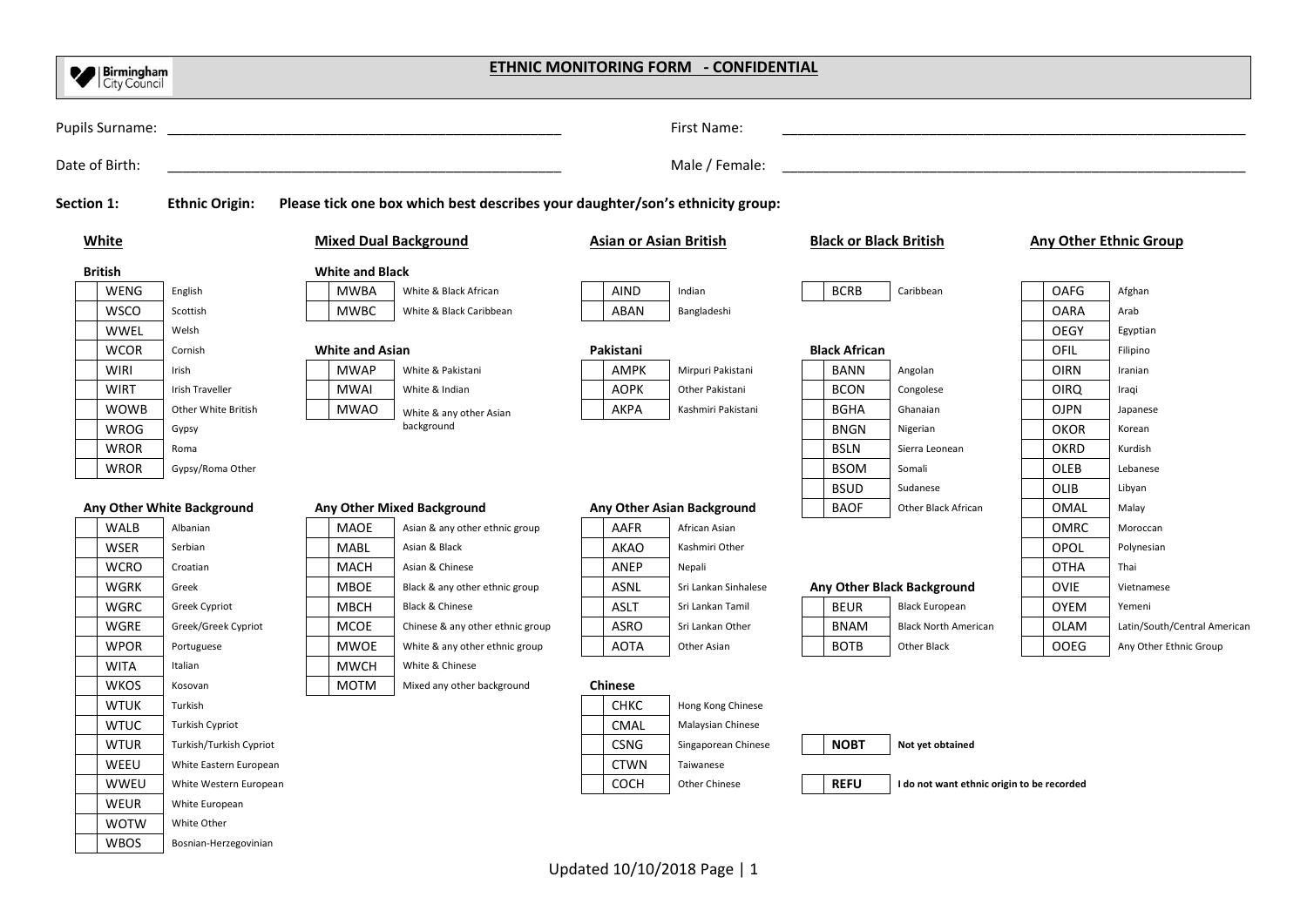| <b>X</b>   Birmingham |                            |                              |                                                                               |                               | <b>ETHNIC MONITORING FORM - CONFIDENTIAL</b> |                               |                                            |             |                               |
|-----------------------|----------------------------|------------------------------|-------------------------------------------------------------------------------|-------------------------------|----------------------------------------------|-------------------------------|--------------------------------------------|-------------|-------------------------------|
| Pupils Surname:       |                            |                              |                                                                               |                               | First Name:                                  |                               |                                            |             |                               |
| Date of Birth:        |                            |                              |                                                                               |                               | Male / Female:                               |                               |                                            |             |                               |
| Section 1:            | <b>Ethnic Origin:</b>      |                              | Please tick one box which best describes your daughter/son's ethnicity group: |                               |                                              |                               |                                            |             |                               |
| White                 |                            | <b>Mixed Dual Background</b> |                                                                               | <b>Asian or Asian British</b> |                                              | <b>Black or Black British</b> |                                            |             | <b>Any Other Ethnic Group</b> |
| <b>British</b>        |                            | <b>White and Black</b>       |                                                                               |                               |                                              |                               |                                            |             |                               |
| WENG                  | English                    | <b>MWBA</b>                  | White & Black African                                                         | <b>AIND</b>                   | Indian                                       | <b>BCRB</b>                   | Caribbean                                  | <b>OAFG</b> | Afghan                        |
| <b>WSCO</b>           | Scottish                   | <b>MWBC</b>                  | White & Black Caribbean                                                       | ABAN                          | Bangladeshi                                  |                               |                                            | <b>OARA</b> | Arab                          |
| <b>WWEL</b>           | Welsh                      |                              |                                                                               |                               |                                              |                               |                                            | <b>OEGY</b> | Egyptian                      |
| <b>WCOR</b>           | Cornish                    | <b>White and Asian</b>       |                                                                               | Pakistani                     |                                              | <b>Black African</b>          |                                            | OFIL        | Filipino                      |
| <b>WIRI</b>           | Irish                      | <b>MWAP</b>                  | White & Pakistani                                                             | AMPK                          | Mirpuri Pakistani                            | <b>BANN</b>                   | Angolan                                    | <b>OIRN</b> | Iranian                       |
| <b>WIRT</b>           | <b>Irish Traveller</b>     | <b>MWAI</b>                  | White & Indian                                                                | <b>AOPK</b>                   | Other Pakistani                              | <b>BCON</b>                   | Congolese                                  | <b>OIRQ</b> | Iraqi                         |
| <b>WOWB</b>           | Other White British        | <b>MWAO</b>                  | White & any other Asian                                                       | AKPA                          | Kashmiri Pakistani                           | <b>BGHA</b>                   | Ghanaian                                   | <b>OJPN</b> | Japanese                      |
| <b>WROG</b>           | Gypsy                      |                              | background                                                                    |                               |                                              | <b>BNGN</b>                   | Nigerian                                   | <b>OKOR</b> | Korean                        |
| <b>WROR</b>           | Roma                       |                              |                                                                               |                               |                                              | <b>BSLN</b>                   | Sierra Leonean                             | <b>OKRD</b> | Kurdish                       |
| <b>WROR</b>           | Gypsy/Roma Other           |                              |                                                                               |                               |                                              | <b>BSOM</b>                   | Somali                                     | OLEB        | Lebanese                      |
|                       |                            |                              |                                                                               |                               |                                              | <b>BSUD</b>                   | Sudanese                                   | OLIB        | Libyan                        |
|                       | Any Other White Background |                              | <b>Any Other Mixed Background</b>                                             |                               | Any Other Asian Background                   | <b>BAOF</b>                   | Other Black African                        | <b>OMAL</b> | Malay                         |
| <b>WALB</b>           | Albanian                   | <b>MAOE</b>                  | Asian & any other ethnic group                                                | AAFR                          | African Asian                                |                               |                                            | <b>OMRC</b> | Moroccan                      |
| WSER                  | Serbian                    | <b>MABL</b>                  | Asian & Black                                                                 | AKAO                          | Kashmiri Other                               |                               |                                            | OPOL        | Polynesian                    |
| <b>WCRO</b>           | Croatian                   | <b>MACH</b>                  | Asian & Chinese                                                               | ANEP                          | Nepali                                       |                               |                                            | <b>OTHA</b> | Thai                          |
| WGRK                  | Greek                      | <b>MBOE</b>                  | Black & any other ethnic group                                                | <b>ASNL</b>                   | Sri Lankan Sinhalese                         |                               | Any Other Black Background                 | <b>OVIE</b> | Vietnamese                    |
| <b>WGRC</b>           | Greek Cypriot              | <b>MBCH</b>                  | Black & Chinese                                                               | <b>ASLT</b>                   | Sri Lankan Tamil                             | <b>BEUR</b>                   | <b>Black European</b>                      | <b>OYEM</b> | Yemeni                        |
| WGRE                  | Greek/Greek Cypriot        | <b>MCOE</b>                  | Chinese & any other ethnic group                                              | <b>ASRO</b>                   | Sri Lankan Other                             | <b>BNAM</b>                   | <b>Black North American</b>                | <b>OLAM</b> | Latin/South/Central American  |
| <b>WPOR</b>           | Portuguese                 | <b>MWOE</b>                  | White & any other ethnic group                                                | <b>AOTA</b>                   | Other Asian                                  | <b>BOTB</b>                   | Other Black                                | <b>OOEG</b> | Any Other Ethnic Group        |
| <b>WITA</b>           | Italian                    | <b>MWCH</b>                  | White & Chinese                                                               |                               |                                              |                               |                                            |             |                               |
| <b>WKOS</b>           | Kosovan                    | <b>MOTM</b>                  | Mixed any other background                                                    | <b>Chinese</b>                |                                              |                               |                                            |             |                               |
| <b>WTUK</b>           | Turkish                    |                              |                                                                               | CHKC                          | Hong Kong Chinese                            |                               |                                            |             |                               |
| <b>WTUC</b>           | <b>Turkish Cypriot</b>     |                              |                                                                               | <b>CMAL</b>                   | Malaysian Chinese                            |                               |                                            |             |                               |
| <b>WTUR</b>           | Turkish/Turkish Cypriot    |                              |                                                                               | <b>CSNG</b>                   | Singaporean Chinese                          | <b>NOBT</b>                   | Not yet obtained                           |             |                               |
| WEEU                  | White Eastern European     |                              |                                                                               | <b>CTWN</b>                   | Taiwanese                                    |                               |                                            |             |                               |
| <b>WWEU</b>           | White Western European     |                              |                                                                               | <b>COCH</b>                   | Other Chinese                                | <b>REFU</b>                   | I do not want ethnic origin to be recorded |             |                               |
| <b>WEUR</b>           | White European             |                              |                                                                               |                               |                                              |                               |                                            |             |                               |
| <b>WOTW</b>           | White Other                |                              |                                                                               |                               |                                              |                               |                                            |             |                               |
| <b>WBOS</b>           | Bosnian-Herzegovinian      |                              |                                                                               |                               |                                              |                               |                                            |             |                               |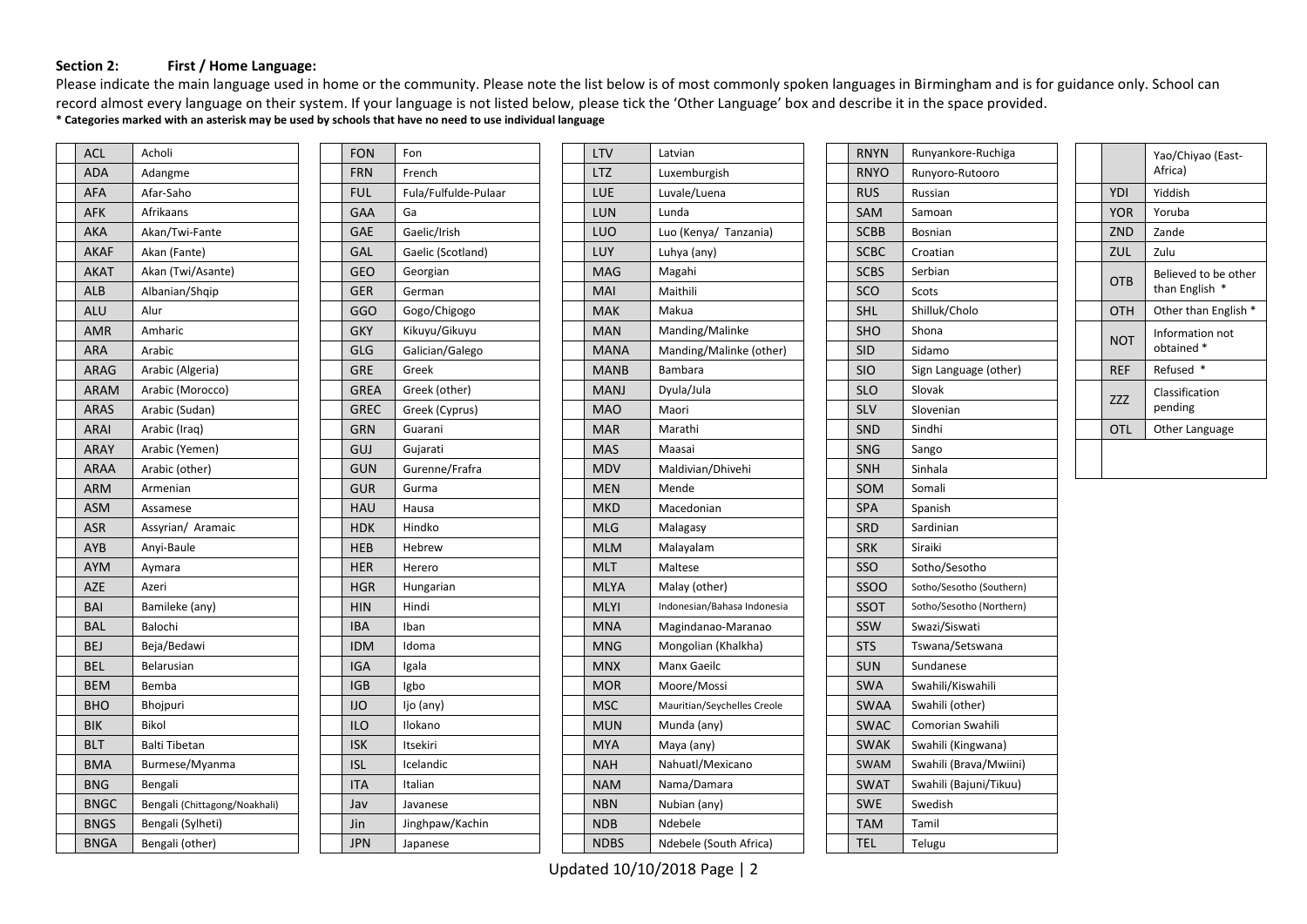## **Section 2: First / Home Language:**

Please indicate the main language used in home or the community. Please note the list below is of most commonly spoken languages in Birmingham and is for guidance only. School can record almost every language on their system. If your language is not listed below, please tick the 'Other Language' box and describe it in the space provided. **\* Categories marked with an asterisk may be used by schools that have no need to use individual language**

| ACL         | Acholi                        | <b>FON</b>  | Fon                  | <b>LTV</b>  | Latvian                     | <b>RNYN</b> | Runyankore-Ruchiga       |            | Yao/Chiyao (East-    |
|-------------|-------------------------------|-------------|----------------------|-------------|-----------------------------|-------------|--------------------------|------------|----------------------|
| <b>ADA</b>  | Adangme                       | <b>FRN</b>  | French               | LTZ         | Luxemburgish                | <b>RNYO</b> | Runyoro-Rutooro          |            | Africa)              |
| AFA         | Afar-Saho                     | <b>FUL</b>  | Fula/Fulfulde-Pulaar | LUE         | Luvale/Luena                | <b>RUS</b>  | Russian                  | YDI        | Yiddish              |
| <b>AFK</b>  | Afrikaans                     | <b>GAA</b>  | Ga                   | LUN         | Lunda                       | SAM         | Samoan                   | <b>YOR</b> | Yoruba               |
| <b>AKA</b>  | Akan/Twi-Fante                | <b>GAE</b>  | Gaelic/Irish         | LUO         | Luo (Kenya/ Tanzania)       | <b>SCBB</b> | Bosnian                  | ZND        | Zande                |
| <b>AKAF</b> | Akan (Fante)                  | GAL         | Gaelic (Scotland)    | LUY         | Luhya (any)                 | <b>SCBC</b> | Croatian                 | ZUL        | Zulu                 |
| <b>AKAT</b> | Akan (Twi/Asante)             | <b>GEO</b>  | Georgian             | <b>MAG</b>  | Magahi                      | <b>SCBS</b> | Serbian                  | <b>OTB</b> | Believed to be other |
| <b>ALB</b>  | Albanian/Shqip                | <b>GER</b>  | German               | MAI         | Maithili                    | SCO         | Scots                    |            | than English *       |
| <b>ALU</b>  | Alur                          | GGO         | Gogo/Chigogo         | <b>MAK</b>  | Makua                       | SHL         | Shilluk/Cholo            | OTH        | Other than English * |
| <b>AMR</b>  | Amharic                       | <b>GKY</b>  | Kikuyu/Gikuyu        | <b>MAN</b>  | Manding/Malinke             | SHO         | Shona                    | <b>NOT</b> | Information not      |
| <b>ARA</b>  | Arabic                        | <b>GLG</b>  | Galician/Galego      | <b>MANA</b> | Manding/Malinke (other)     | SID         | Sidamo                   |            | obtained *           |
| <b>ARAG</b> | Arabic (Algeria)              | <b>GRE</b>  | Greek                | <b>MANB</b> | Bambara                     | <b>SIO</b>  | Sign Language (other)    | <b>REF</b> | Refused *            |
| <b>ARAM</b> | Arabic (Morocco)              | <b>GREA</b> | Greek (other)        | <b>MANJ</b> | Dyula/Jula                  | <b>SLO</b>  | Slovak                   | <b>ZZZ</b> | Classification       |
| <b>ARAS</b> | Arabic (Sudan)                | <b>GREC</b> | Greek (Cyprus)       | <b>MAO</b>  | Maori                       | SLV         | Slovenian                |            | pending              |
| <b>ARAI</b> | Arabic (Iraq)                 | <b>GRN</b>  | Guarani              | <b>MAR</b>  | Marathi                     | SND         | Sindhi                   | OTL        | Other Language       |
| <b>ARAY</b> | Arabic (Yemen)                | GUJ         | Gujarati             | <b>MAS</b>  | Maasai                      | SNG         | Sango                    |            |                      |
| <b>ARAA</b> | Arabic (other)                | <b>GUN</b>  | Gurenne/Frafra       | <b>MDV</b>  | Maldivian/Dhivehi           | <b>SNH</b>  | Sinhala                  |            |                      |
| <b>ARM</b>  | Armenian                      | <b>GUR</b>  | Gurma                | <b>MEN</b>  | Mende                       | SOM         | Somali                   |            |                      |
| <b>ASM</b>  | Assamese                      | <b>HAU</b>  | Hausa                | <b>MKD</b>  | Macedonian                  | SPA         | Spanish                  |            |                      |
| <b>ASR</b>  | Assyrian/ Aramaic             | <b>HDK</b>  | Hindko               | <b>MLG</b>  | Malagasy                    | SRD         | Sardinian                |            |                      |
| AYB         | Anyi-Baule                    | <b>HEB</b>  | Hebrew               | <b>MLM</b>  | Malayalam                   | <b>SRK</b>  | Siraiki                  |            |                      |
| <b>AYM</b>  | Aymara                        | <b>HER</b>  | Herero               | <b>MLT</b>  | Maltese                     | SSO         | Sotho/Sesotho            |            |                      |
| <b>AZE</b>  | Azeri                         | <b>HGR</b>  | Hungarian            | <b>MLYA</b> | Malay (other)               | SSOO        | Sotho/Sesotho (Southern) |            |                      |
| BAI         | Bamileke (any)                | <b>HIN</b>  | Hindi                | <b>MLYI</b> | Indonesian/Bahasa Indonesia | SSOT        | Sotho/Sesotho (Northern) |            |                      |
| <b>BAL</b>  | Balochi                       | IBA         | Iban                 | <b>MNA</b>  | Magindanao-Maranao          | SSW         | Swazi/Siswati            |            |                      |
| <b>BEJ</b>  | Beja/Bedawi                   | <b>IDM</b>  | Idoma                | <b>MNG</b>  | Mongolian (Khalkha)         | <b>STS</b>  | Tswana/Setswana          |            |                      |
| <b>BEL</b>  | Belarusian                    | <b>IGA</b>  | Igala                | <b>MNX</b>  | Manx Gaeilc                 | SUN         | Sundanese                |            |                      |
| <b>BEM</b>  | Bemba                         | <b>IGB</b>  | Igbo                 | <b>MOR</b>  | Moore/Mossi                 | SWA         | Swahili/Kiswahili        |            |                      |
| <b>BHO</b>  | Bhojpuri                      | IJO         | Ijo (any)            | <b>MSC</b>  | Mauritian/Seychelles Creole | <b>SWAA</b> | Swahili (other)          |            |                      |
| <b>BIK</b>  | Bikol                         | <b>ILO</b>  | Ilokano              | <b>MUN</b>  | Munda (any)                 | <b>SWAC</b> | Comorian Swahili         |            |                      |
| <b>BLT</b>  | Balti Tibetan                 | <b>ISK</b>  | Itsekiri             | <b>MYA</b>  | Maya (any)                  | <b>SWAK</b> | Swahili (Kingwana)       |            |                      |
| <b>BMA</b>  | Burmese/Myanma                | <b>ISL</b>  | Icelandic            | <b>NAH</b>  | Nahuatl/Mexicano            | SWAM        | Swahili (Brava/Mwiini)   |            |                      |
| <b>BNG</b>  | Bengali                       | <b>ITA</b>  | Italian              | <b>NAM</b>  | Nama/Damara                 | SWAT        | Swahili (Bajuni/Tikuu)   |            |                      |
| <b>BNGC</b> | Bengali (Chittagong/Noakhali) | Jav         | Javanese             | <b>NBN</b>  | Nubian (any)                | SWE         | Swedish                  |            |                      |
| <b>BNGS</b> | Bengali (Sylheti)             | Jin         | Jinghpaw/Kachin      | <b>NDB</b>  | Ndebele                     | <b>TAM</b>  | Tamil                    |            |                      |
| <b>BNGA</b> | Bengali (other)               | <b>JPN</b>  | Japanese             | <b>NDBS</b> | Ndebele (South Africa)      | <b>TEL</b>  | Telugu                   |            |                      |
|             |                               |             |                      |             |                             |             |                          |            |                      |

| RNYN        | Runyankore-Ruchiga       |  |  |  |  |
|-------------|--------------------------|--|--|--|--|
| <b>RNYO</b> | Runyoro-Rutooro          |  |  |  |  |
| <b>RUS</b>  | Russian                  |  |  |  |  |
| SAM         | Samoan                   |  |  |  |  |
| <b>SCBB</b> | Bosnian                  |  |  |  |  |
| <b>SCBC</b> | Croatian                 |  |  |  |  |
| <b>SCBS</b> | Serbian                  |  |  |  |  |
| SCO         | Scots                    |  |  |  |  |
| <b>SHL</b>  | Shilluk/Cholo            |  |  |  |  |
| <b>SHO</b>  | Shona                    |  |  |  |  |
| <b>SID</b>  | Sidamo                   |  |  |  |  |
| <b>SIO</b>  | Sign Language (other)    |  |  |  |  |
| <b>SLO</b>  | Slovak                   |  |  |  |  |
| <b>SLV</b>  | Slovenian                |  |  |  |  |
| SND         | Sindhi                   |  |  |  |  |
| SNG         | Sango                    |  |  |  |  |
| <b>SNH</b>  | Sinhala                  |  |  |  |  |
| SOM         | Somali                   |  |  |  |  |
| SPA         | Spanish                  |  |  |  |  |
| <b>SRD</b>  | Sardinian                |  |  |  |  |
| <b>SRK</b>  | Siraiki                  |  |  |  |  |
| SSO         | Sotho/Sesotho            |  |  |  |  |
| SSOO        | Sotho/Sesotho (Southern) |  |  |  |  |
| <b>SSOT</b> | Sotho/Sesotho (Northern) |  |  |  |  |
| SSW         | Swazi/Siswati            |  |  |  |  |
| <b>STS</b>  | Tswana/Setswana          |  |  |  |  |
| <b>SUN</b>  | Sundanese                |  |  |  |  |
| <b>SWA</b>  | Swahili/Kiswahili        |  |  |  |  |
| <b>SWAA</b> | Swahili (other)          |  |  |  |  |
| SWAC        | Comorian Swahili         |  |  |  |  |
| <b>SWAK</b> | Swahili (Kingwana)       |  |  |  |  |
| <b>SWAM</b> | Swahili (Brava/Mwiini)   |  |  |  |  |
| <b>SWAT</b> | Swahili (Bajuni/Tikuu)   |  |  |  |  |
| <b>SWE</b>  | Swedish                  |  |  |  |  |
| TAM         | Tamil                    |  |  |  |  |
| TEL         | Telugu                   |  |  |  |  |

|            | Yao/Chiyao (East-<br>Africa)         |
|------------|--------------------------------------|
| YDI        | Yiddish                              |
| <b>YOR</b> | Yoruba                               |
| ZND        | Zande                                |
| ZUL        | Zulu                                 |
| <b>OTB</b> | Believed to be other<br>than English |
| OTH        | *<br>Other than English              |
| <b>NOT</b> | Information not<br>obtained *        |
| REF        | $\ast$<br>Refused                    |
| 777        | Classification<br>pending            |
| OTL        | Other Language                       |
|            |                                      |

Updated 10/10/2018 Page | 2